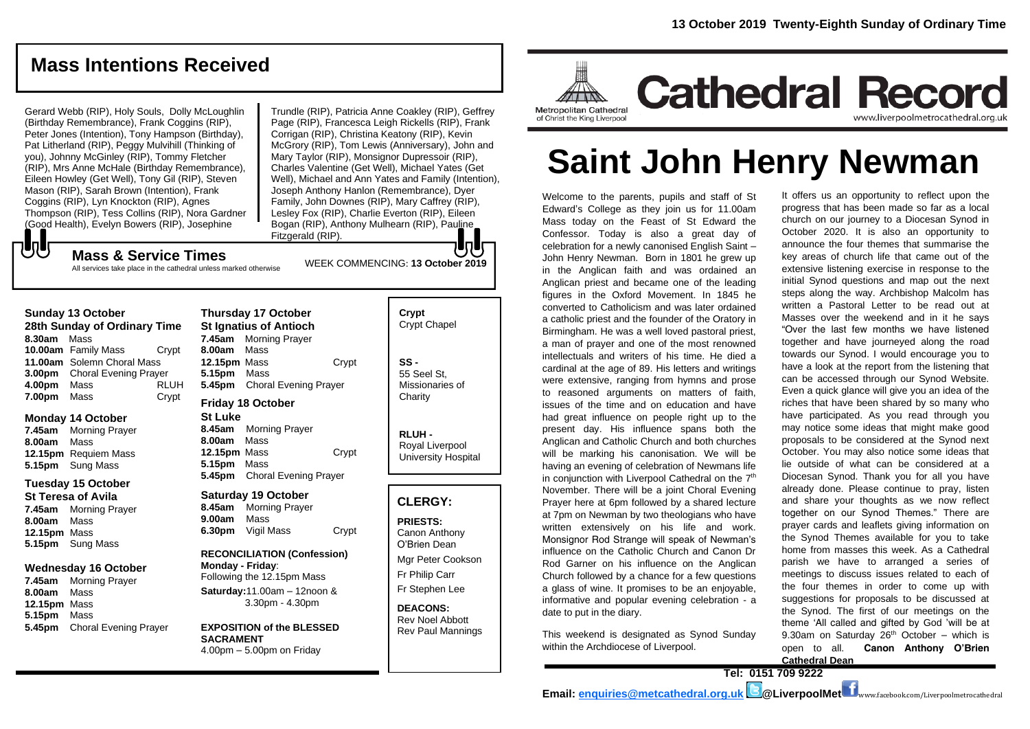# **Mass Intentions Received**

Gerard Webb (RIP), Holy Souls, Dolly McLoughlin (Birthday Remembrance), Frank Coggins (RIP), Peter Jones (Intention), Tony Hampson (Birthday), Pat Litherland (RIP), Peggy Mulvihill (Thinking of you), Johnny McGinley (RIP), Tommy Fletcher (RIP), Mrs Anne McHale (Birthday Remembrance), Eileen Howley (Get Well), Tony Gil (RIP), Steven Mason (RIP), Sarah Brown (Intention), Frank Coggins (RIP), Lyn Knockton (RIP), Agnes Thompson (RIP), Tess Collins (RIP), Nora Gardner (Good Health), Evelyn Bowers (RIP), Josephine

Trundle (RIP), Patricia Anne Coakley (RIP), Geffrey Page (RIP), Francesca Leigh Rickells (RIP), Frank Corrigan (RIP), Christina Keatony (RIP), Kevin McGrory (RIP), Tom Lewis (Anniversary), John and Mary Taylor (RIP), Monsignor Dupressoir (RIP), Charles Valentine (Get Well), Michael Yates (Get Well), Michael and Ann Yates and Family (Intention), Joseph Anthony Hanlon (Remembrance), Dyer Family, John Downes (RIP), Mary Caffrey (RIP), Lesley Fox (RIP), Charlie Everton (RIP), Eileen Bogan (RIP), Anthony Mulhearn (RIP), Pauline Fitzgerald (RIP).

WEEK COMMENCING: **13 October 2019**

**Mass & Service Times**

#### All services take place in the cathedral unless marked otherwise

#### **Sunday 13 October**

もし

**28th Sunday of Ordinary Time 8.30am** Mass **10.00am** Family Mass Crypt **11.00am** Solemn Choral Mass **3.00pm** Choral Evening Prayer **4.00pm** Mass RLUH **7.00pm** Mass Crypt

#### **Monday 14 October**

**7.45am** Morning Prayer **8.00am** Mass **12.15pm** Requiem Mass **5.15pm** Sung Mass

#### **Tuesday 15 October**

**St Teresa of Avila 7.45am** Morning Prayer **8.00am** Mass **12.15pm** Mass **5.15pm** Sung Mass

#### **Wednesday 16 October**

**7.45am** Morning Prayer **8.00am** Mass **12.15pm** Mass **5.15pm** Mass **5.45pm** Choral Evening Prayer

**Thursday 17 October St Ignatius of Antioch 7.45am** Morning Prayer **8.00am** Mass **12.15pm** Mass Crypt **5.15pm** Mass **5.45pm** Choral Evening Prayer **Friday 18 October**

## **St Luke**

**8.45am** Morning Prayer **8.00am** Mass **12.15pm** Mass Crypt **5.15pm** Mass **5.45pm** Choral Evening Prayer

#### **Saturday 19 October**

**8.45am** Morning Prayer **9.00am** Mass **6.30pm** Vigil Mass Crypt

**RECONCILIATION (Confession) Monday - Friday**: Following the 12.15pm Mass **Saturday:**11.00am – 12noon & 3.30pm - 4.30pm

**EXPOSITION of the BLESSED SACRAMENT** 4.00pm – 5.00pm on Friday

| Crypt<br><b>Crypt Chapel</b>                      |
|---------------------------------------------------|
| SS -<br>55 Seel St.<br>Missionaries of<br>Charity |

**RLUH -** Royal Liverpool University Hospital

## **CLERGY:**

**PRIESTS:** Canon Anthony O'Brien *Dean*

Mgr Peter Cookson Fr Philip Carr Fr Stephen Lee

**DEACONS:** Rev Noel Abbott Rev Paul Mannings



# **Saint John Henry Newman**

Welcome to the parents, pupils and staff of St Edward's College as they join us for 11.00am Mass today on the Feast of St Edward the Confessor. Today is also a great day of celebration for a newly canonised English Saint – John Henry Newman. Born in 1801 he grew up in the Anglican faith and was ordained an Anglican priest and became one of the leading figures in the Oxford Movement. In 1845 he converted to Catholicism and was later ordained a catholic priest and the founder of the Oratory in Birmingham. He was a well loved pastoral priest, a man of prayer and one of the most renowned intellectuals and writers of his time. He died a cardinal at the age of 89. His letters and writings were extensive, ranging from hymns and prose to reasoned arguments on matters of faith, issues of the time and on education and have had great influence on people right up to the present day. His influence spans both the Anglican and Catholic Church and both churches will be marking his canonisation. We will be having an evening of celebration of Newmans life in conjunction with Liverpool Cathedral on the 7<sup>th</sup> November. There will be a joint Choral Evening Prayer here at 6pm followed by a shared lecture at 7pm on Newman by two theologians who have written extensively on his life and work. Monsignor Rod Strange will speak of Newman's influence on the Catholic Church and Canon Dr Rod Garner on his influence on the Anglican Church followed by a chance for a few questions a glass of wine. It promises to be an enjoyable, informative and popular evening celebration - a date to put in the diary.

This weekend is designated as Synod Sunday within the Archdiocese of Liverpool.

It offers us an opportunity to reflect upon the progress that has been made so far as a local church on our journey to a Diocesan Synod in October 2020. It is also an opportunity to announce the four themes that summarise the key areas of church life that came out of the extensive listening exercise in response to the initial Synod questions and map out the next steps along the way. Archbishop Malcolm has written a Pastoral Letter to be read out at Masses over the weekend and in it he says "Over the last few months we have listened together and have journeyed along the road towards our Synod. I would encourage you to have a look at the report from the listening that can be accessed through our Synod Website. Even a quick glance will give you an idea of the riches that have been shared by so many who have participated. As you read through you may notice some ideas that might make good proposals to be considered at the Synod next October. You may also notice some ideas that lie outside of what can be considered at a Diocesan Synod. Thank you for all you have already done. Please continue to pray, listen and share your thoughts as we now reflect together on our Synod Themes." There are prayer cards and leaflets giving information on the Synod Themes available for you to take home from masses this week. As a Cathedral parish we have to arranged a series of meetings to discuss issues related to each of the four themes in order to come up with suggestions for proposals to be discussed at the Synod. The first of our meetings on the theme 'All called and gifted by God 'will be at 9.30am on Saturday  $26<sup>th</sup>$  October – which is open to all. **Canon Anthony O'Brien Cathedral Dean**

**Tel: 0151 709 9222**